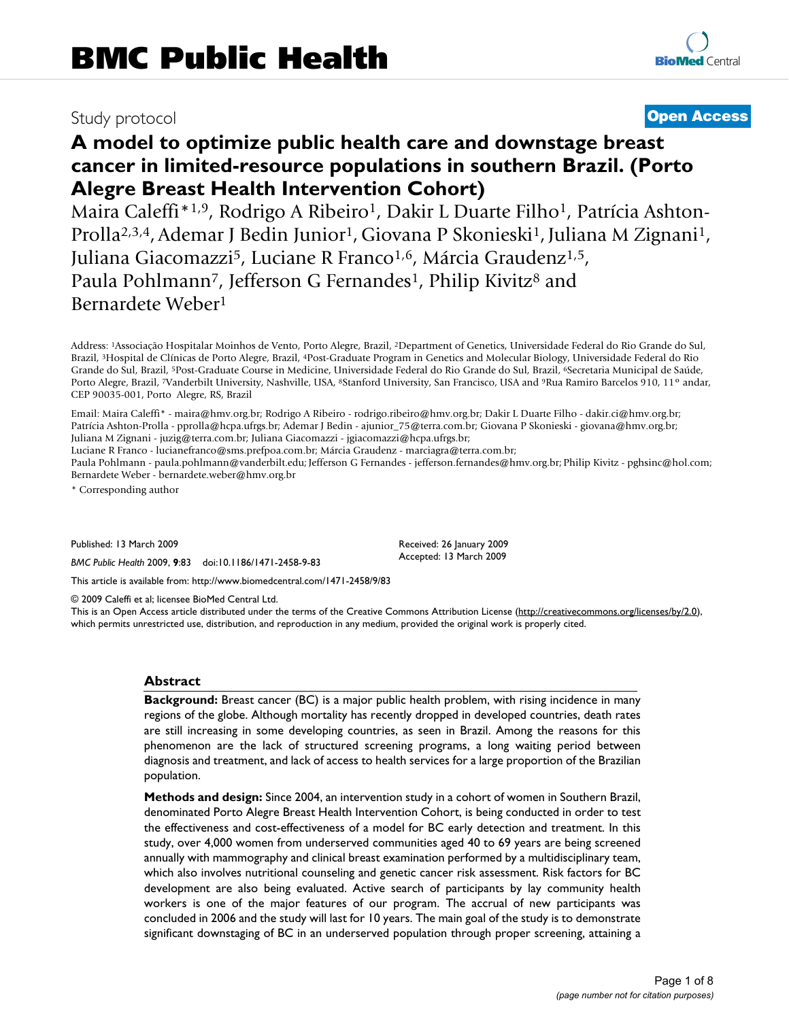# Study protocol **[Open Access](http://www.biomedcentral.com/info/about/charter/)**

# **A model to optimize public health care and downstage breast cancer in limited-resource populations in southern Brazil. (Porto Alegre Breast Health Intervention Cohort)**

Maira Caleffi<sup>\*1,9</sup>, Rodrigo A Ribeiro<sup>1</sup>, Dakir L Duarte Filho<sup>1</sup>, Patrícia Ashton-Prolla<sup>2,3,4</sup>, Ademar J Bedin Junior<sup>1</sup>, Giovana P Skonieski<sup>1</sup>, Juliana M Zignani<sup>1</sup>, Juliana Giacomazzi<sup>5</sup>, Luciane R Franco<sup>1,6</sup>, Márcia Graudenz<sup>1,5</sup>, Paula Pohlmann<sup>7</sup>, Jefferson G Fernandes<sup>1</sup>, Philip Kivitz<sup>8</sup> and Bernardete Weber1

Address: 1Associação Hospitalar Moinhos de Vento, Porto Alegre, Brazil, 2Department of Genetics, Universidade Federal do Rio Grande do Sul, Brazil, 3Hospital de Clínicas de Porto Alegre, Brazil, 4Post-Graduate Program in Genetics and Molecular Biology, Universidade Federal do Rio Grande do Sul, Brazil, 5Post-Graduate Course in Medicine, Universidade Federal do Rio Grande do Sul, Brazil, 6Secretaria Municipal de Saúde, Porto Alegre, Brazil, 7Vanderbilt University, Nashville, USA, <sup>8</sup>Stanford University, San Francisco, USA and <sup>9</sup>Rua Ramiro Barcelos 910, 11° andar, CEP 90035-001, Porto Alegre, RS, Brazil

Email: Maira Caleffi\* - maira@hmv.org.br; Rodrigo A Ribeiro - rodrigo.ribeiro@hmv.org.br; Dakir L Duarte Filho - dakir.ci@hmv.org.br; Patrícia Ashton-Prolla - pprolla@hcpa.ufrgs.br; Ademar J Bedin - ajunior\_75@terra.com.br; Giovana P Skonieski - giovana@hmv.org.br; Juliana M Zignani - juzig@terra.com.br; Juliana Giacomazzi - jgiacomazzi@hcpa.ufrgs.br;

Luciane R Franco - lucianefranco@sms.prefpoa.com.br; Márcia Graudenz - marciagra@terra.com.br;

Paula Pohlmann - paula.pohlmann@vanderbilt.edu; Jefferson G Fernandes - jefferson.fernandes@hmv.org.br; Philip Kivitz - pghsinc@hol.com; Bernardete Weber - bernardete.weber@hmv.org.br

> Received: 26 January 2009 Accepted: 13 March 2009

\* Corresponding author

Published: 13 March 2009

*BMC Public Health* 2009, **9**:83 doi:10.1186/1471-2458-9-83

[This article is available from: http://www.biomedcentral.com/1471-2458/9/83](http://www.biomedcentral.com/1471-2458/9/83)

© 2009 Caleffi et al; licensee BioMed Central Ltd.

This is an Open Access article distributed under the terms of the Creative Commons Attribution License [\(http://creativecommons.org/licenses/by/2.0\)](http://creativecommons.org/licenses/by/2.0), which permits unrestricted use, distribution, and reproduction in any medium, provided the original work is properly cited.

#### **Abstract**

**Background:** Breast cancer (BC) is a major public health problem, with rising incidence in many regions of the globe. Although mortality has recently dropped in developed countries, death rates are still increasing in some developing countries, as seen in Brazil. Among the reasons for this phenomenon are the lack of structured screening programs, a long waiting period between diagnosis and treatment, and lack of access to health services for a large proportion of the Brazilian population.

**Methods and design:** Since 2004, an intervention study in a cohort of women in Southern Brazil, denominated Porto Alegre Breast Health Intervention Cohort, is being conducted in order to test the effectiveness and cost-effectiveness of a model for BC early detection and treatment. In this study, over 4,000 women from underserved communities aged 40 to 69 years are being screened annually with mammography and clinical breast examination performed by a multidisciplinary team, which also involves nutritional counseling and genetic cancer risk assessment. Risk factors for BC development are also being evaluated. Active search of participants by lay community health workers is one of the major features of our program. The accrual of new participants was concluded in 2006 and the study will last for 10 years. The main goal of the study is to demonstrate significant downstaging of BC in an underserved population through proper screening, attaining a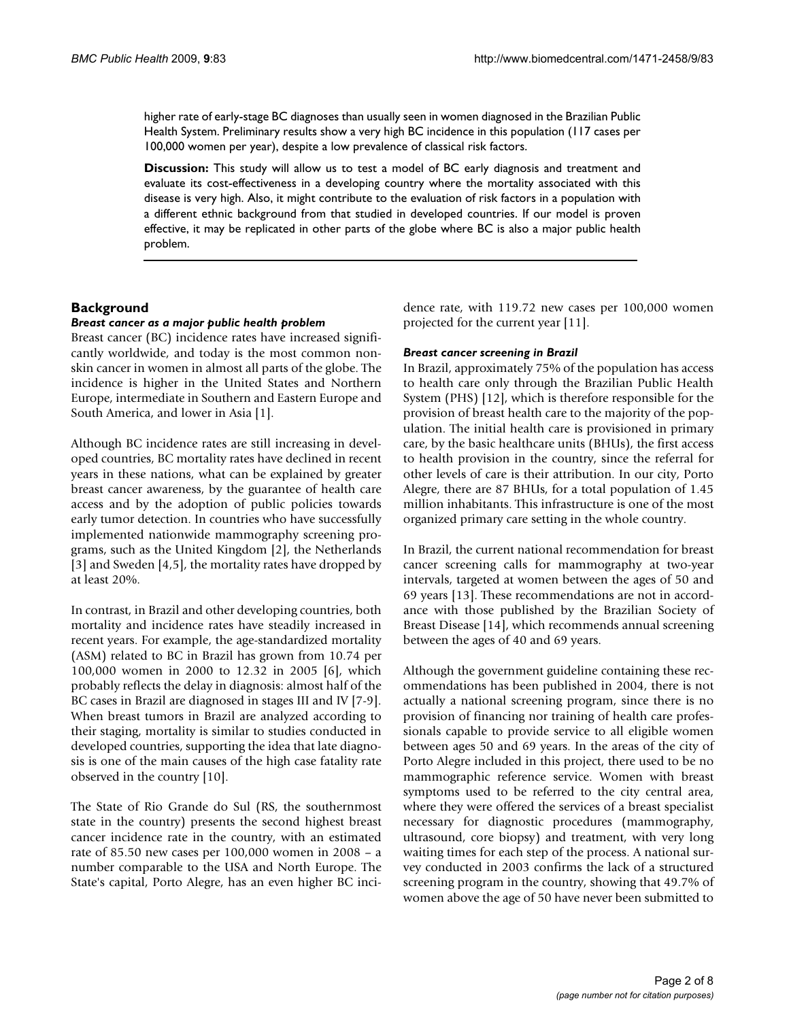higher rate of early-stage BC diagnoses than usually seen in women diagnosed in the Brazilian Public Health System. Preliminary results show a very high BC incidence in this population (117 cases per 100,000 women per year), despite a low prevalence of classical risk factors.

**Discussion:** This study will allow us to test a model of BC early diagnosis and treatment and evaluate its cost-effectiveness in a developing country where the mortality associated with this disease is very high. Also, it might contribute to the evaluation of risk factors in a population with a different ethnic background from that studied in developed countries. If our model is proven effective, it may be replicated in other parts of the globe where BC is also a major public health problem.

#### **Background**

#### *Breast cancer as a major public health problem*

Breast cancer (BC) incidence rates have increased significantly worldwide, and today is the most common nonskin cancer in women in almost all parts of the globe. The incidence is higher in the United States and Northern Europe, intermediate in Southern and Eastern Europe and South America, and lower in Asia [1].

Although BC incidence rates are still increasing in developed countries, BC mortality rates have declined in recent years in these nations, what can be explained by greater breast cancer awareness, by the guarantee of health care access and by the adoption of public policies towards early tumor detection. In countries who have successfully implemented nationwide mammography screening programs, such as the United Kingdom [2], the Netherlands [3] and Sweden [4,5], the mortality rates have dropped by at least 20%.

In contrast, in Brazil and other developing countries, both mortality and incidence rates have steadily increased in recent years. For example, the age-standardized mortality (ASM) related to BC in Brazil has grown from 10.74 per 100,000 women in 2000 to 12.32 in 2005 [6], which probably reflects the delay in diagnosis: almost half of the BC cases in Brazil are diagnosed in stages III and IV [7-9]. When breast tumors in Brazil are analyzed according to their staging, mortality is similar to studies conducted in developed countries, supporting the idea that late diagnosis is one of the main causes of the high case fatality rate observed in the country [10].

The State of Rio Grande do Sul (RS, the southernmost state in the country) presents the second highest breast cancer incidence rate in the country, with an estimated rate of 85.50 new cases per 100,000 women in 2008 – a number comparable to the USA and North Europe. The State's capital, Porto Alegre, has an even higher BC incidence rate, with 119.72 new cases per 100,000 women projected for the current year [11].

#### *Breast cancer screening in Brazil*

In Brazil, approximately 75% of the population has access to health care only through the Brazilian Public Health System (PHS) [12], which is therefore responsible for the provision of breast health care to the majority of the population. The initial health care is provisioned in primary care, by the basic healthcare units (BHUs), the first access to health provision in the country, since the referral for other levels of care is their attribution. In our city, Porto Alegre, there are 87 BHUs, for a total population of 1.45 million inhabitants. This infrastructure is one of the most organized primary care setting in the whole country.

In Brazil, the current national recommendation for breast cancer screening calls for mammography at two-year intervals, targeted at women between the ages of 50 and 69 years [13]. These recommendations are not in accordance with those published by the Brazilian Society of Breast Disease [14], which recommends annual screening between the ages of 40 and 69 years.

Although the government guideline containing these recommendations has been published in 2004, there is not actually a national screening program, since there is no provision of financing nor training of health care professionals capable to provide service to all eligible women between ages 50 and 69 years. In the areas of the city of Porto Alegre included in this project, there used to be no mammographic reference service. Women with breast symptoms used to be referred to the city central area, where they were offered the services of a breast specialist necessary for diagnostic procedures (mammography, ultrasound, core biopsy) and treatment, with very long waiting times for each step of the process. A national survey conducted in 2003 confirms the lack of a structured screening program in the country, showing that 49.7% of women above the age of 50 have never been submitted to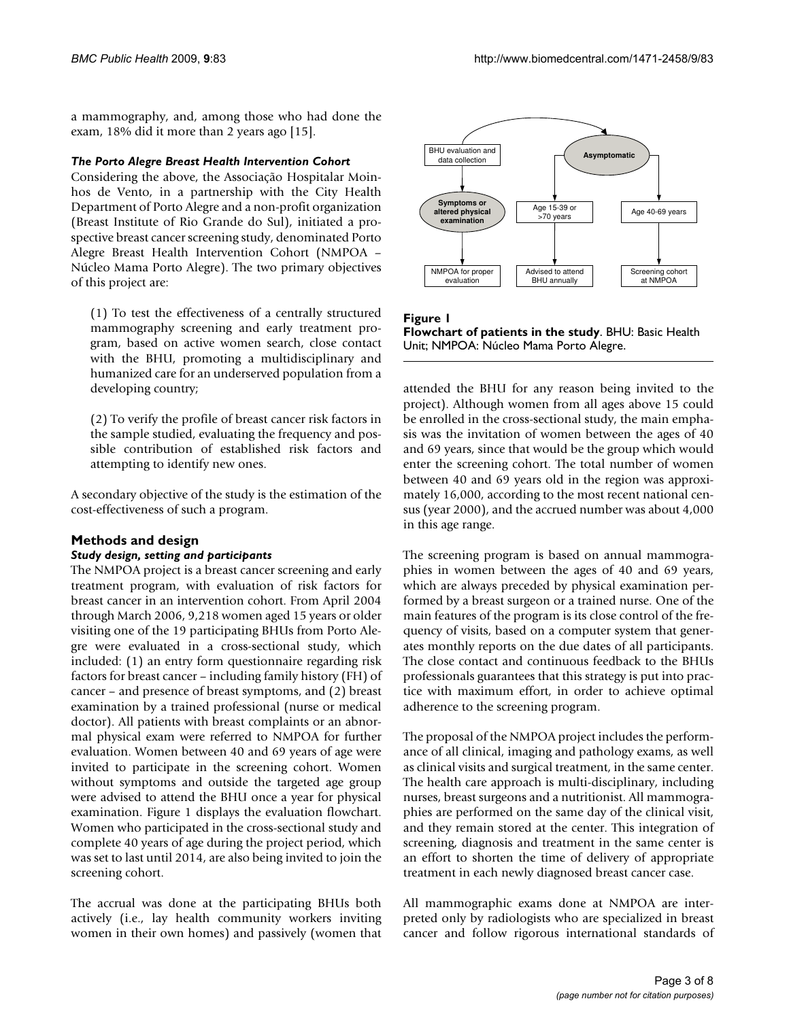a mammography, and, among those who had done the exam, 18% did it more than 2 years ago [15].

#### *The Porto Alegre Breast Health Intervention Cohort*

Considering the above, the Associação Hospitalar Moinhos de Vento, in a partnership with the City Health Department of Porto Alegre and a non-profit organization (Breast Institute of Rio Grande do Sul), initiated a prospective breast cancer screening study, denominated Porto Alegre Breast Health Intervention Cohort (NMPOA – Núcleo Mama Porto Alegre). The two primary objectives of this project are:

(1) To test the effectiveness of a centrally structured mammography screening and early treatment program, based on active women search, close contact with the BHU, promoting a multidisciplinary and humanized care for an underserved population from a developing country;

(2) To verify the profile of breast cancer risk factors in the sample studied, evaluating the frequency and possible contribution of established risk factors and attempting to identify new ones.

A secondary objective of the study is the estimation of the cost-effectiveness of such a program.

# **Methods and design**

#### *Study design, setting and participants*

The NMPOA project is a breast cancer screening and early treatment program, with evaluation of risk factors for breast cancer in an intervention cohort. From April 2004 through March 2006, 9,218 women aged 15 years or older visiting one of the 19 participating BHUs from Porto Alegre were evaluated in a cross-sectional study, which included: (1) an entry form questionnaire regarding risk factors for breast cancer – including family history (FH) of cancer – and presence of breast symptoms, and (2) breast examination by a trained professional (nurse or medical doctor). All patients with breast complaints or an abnormal physical exam were referred to NMPOA for further evaluation. Women between 40 and 69 years of age were invited to participate in the screening cohort. Women without symptoms and outside the targeted age group were advised to attend the BHU once a year for physical examination. Figure 1 displays the evaluation flowchart. Women who participated in the cross-sectional study and complete 40 years of age during the project period, which was set to last until 2014, are also being invited to join the screening cohort.

The accrual was done at the participating BHUs both actively (i.e., lay health community workers inviting women in their own homes) and passively (women that



Figure 1 **Flowchart of patients in the study**. BHU: Basic Health Unit; NMPOA: Núcleo Mama Porto Alegre.

attended the BHU for any reason being invited to the project). Although women from all ages above 15 could be enrolled in the cross-sectional study, the main emphasis was the invitation of women between the ages of 40 and 69 years, since that would be the group which would enter the screening cohort. The total number of women between 40 and 69 years old in the region was approximately 16,000, according to the most recent national census (year 2000), and the accrued number was about 4,000 in this age range.

The screening program is based on annual mammographies in women between the ages of 40 and 69 years, which are always preceded by physical examination performed by a breast surgeon or a trained nurse. One of the main features of the program is its close control of the frequency of visits, based on a computer system that generates monthly reports on the due dates of all participants. The close contact and continuous feedback to the BHUs professionals guarantees that this strategy is put into practice with maximum effort, in order to achieve optimal adherence to the screening program.

The proposal of the NMPOA project includes the performance of all clinical, imaging and pathology exams, as well as clinical visits and surgical treatment, in the same center. The health care approach is multi-disciplinary, including nurses, breast surgeons and a nutritionist. All mammographies are performed on the same day of the clinical visit, and they remain stored at the center. This integration of screening, diagnosis and treatment in the same center is an effort to shorten the time of delivery of appropriate treatment in each newly diagnosed breast cancer case.

All mammographic exams done at NMPOA are interpreted only by radiologists who are specialized in breast cancer and follow rigorous international standards of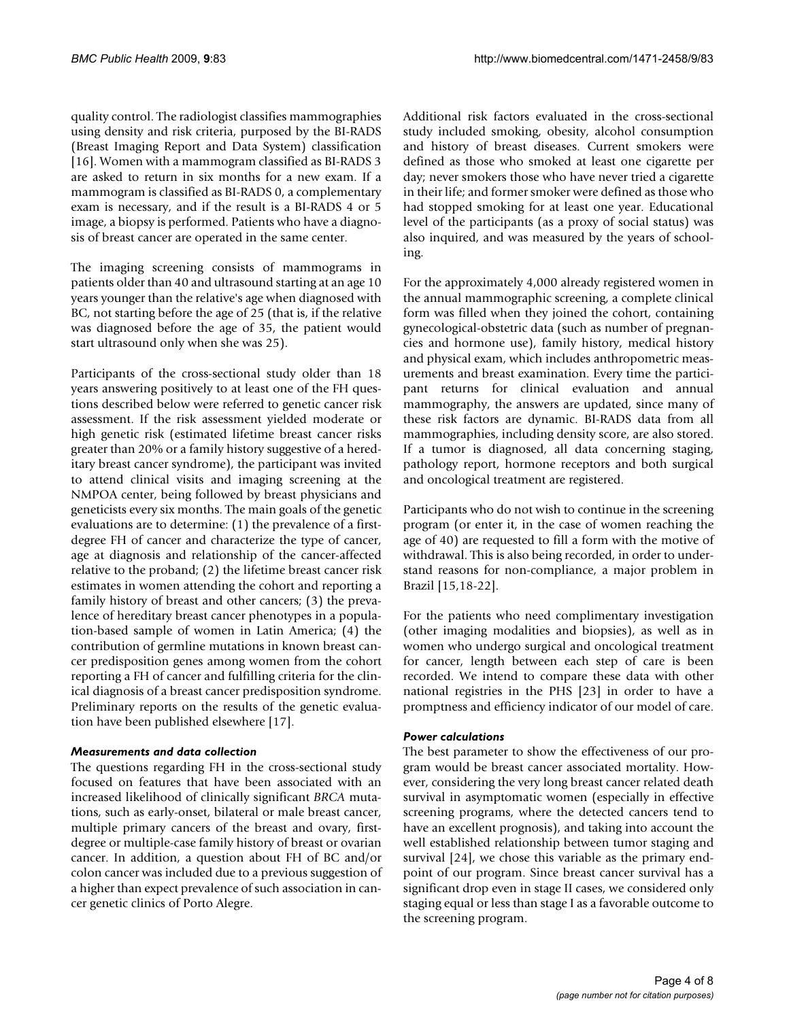quality control. The radiologist classifies mammographies using density and risk criteria, purposed by the BI-RADS (Breast Imaging Report and Data System) classification [16]. Women with a mammogram classified as BI-RADS 3 are asked to return in six months for a new exam. If a mammogram is classified as BI-RADS 0, a complementary exam is necessary, and if the result is a BI-RADS 4 or 5 image, a biopsy is performed. Patients who have a diagnosis of breast cancer are operated in the same center.

The imaging screening consists of mammograms in patients older than 40 and ultrasound starting at an age 10 years younger than the relative's age when diagnosed with BC, not starting before the age of 25 (that is, if the relative was diagnosed before the age of 35, the patient would start ultrasound only when she was 25).

Participants of the cross-sectional study older than 18 years answering positively to at least one of the FH questions described below were referred to genetic cancer risk assessment. If the risk assessment yielded moderate or high genetic risk (estimated lifetime breast cancer risks greater than 20% or a family history suggestive of a hereditary breast cancer syndrome), the participant was invited to attend clinical visits and imaging screening at the NMPOA center, being followed by breast physicians and geneticists every six months. The main goals of the genetic evaluations are to determine: (1) the prevalence of a firstdegree FH of cancer and characterize the type of cancer, age at diagnosis and relationship of the cancer-affected relative to the proband; (2) the lifetime breast cancer risk estimates in women attending the cohort and reporting a family history of breast and other cancers; (3) the prevalence of hereditary breast cancer phenotypes in a population-based sample of women in Latin America; (4) the contribution of germline mutations in known breast cancer predisposition genes among women from the cohort reporting a FH of cancer and fulfilling criteria for the clinical diagnosis of a breast cancer predisposition syndrome. Preliminary reports on the results of the genetic evaluation have been published elsewhere [17].

# *Measurements and data collection*

The questions regarding FH in the cross-sectional study focused on features that have been associated with an increased likelihood of clinically significant *BRCA* mutations, such as early-onset, bilateral or male breast cancer, multiple primary cancers of the breast and ovary, firstdegree or multiple-case family history of breast or ovarian cancer. In addition, a question about FH of BC and/or colon cancer was included due to a previous suggestion of a higher than expect prevalence of such association in cancer genetic clinics of Porto Alegre.

Additional risk factors evaluated in the cross-sectional study included smoking, obesity, alcohol consumption and history of breast diseases. Current smokers were defined as those who smoked at least one cigarette per day; never smokers those who have never tried a cigarette in their life; and former smoker were defined as those who had stopped smoking for at least one year. Educational level of the participants (as a proxy of social status) was also inquired, and was measured by the years of schooling.

For the approximately 4,000 already registered women in the annual mammographic screening, a complete clinical form was filled when they joined the cohort, containing gynecological-obstetric data (such as number of pregnancies and hormone use), family history, medical history and physical exam, which includes anthropometric measurements and breast examination. Every time the participant returns for clinical evaluation and annual mammography, the answers are updated, since many of these risk factors are dynamic. BI-RADS data from all mammographies, including density score, are also stored. If a tumor is diagnosed, all data concerning staging, pathology report, hormone receptors and both surgical and oncological treatment are registered.

Participants who do not wish to continue in the screening program (or enter it, in the case of women reaching the age of 40) are requested to fill a form with the motive of withdrawal. This is also being recorded, in order to understand reasons for non-compliance, a major problem in Brazil [15,18-22].

For the patients who need complimentary investigation (other imaging modalities and biopsies), as well as in women who undergo surgical and oncological treatment for cancer, length between each step of care is been recorded. We intend to compare these data with other national registries in the PHS [23] in order to have a promptness and efficiency indicator of our model of care.

#### *Power calculations*

The best parameter to show the effectiveness of our program would be breast cancer associated mortality. However, considering the very long breast cancer related death survival in asymptomatic women (especially in effective screening programs, where the detected cancers tend to have an excellent prognosis), and taking into account the well established relationship between tumor staging and survival [24], we chose this variable as the primary endpoint of our program. Since breast cancer survival has a significant drop even in stage II cases, we considered only staging equal or less than stage I as a favorable outcome to the screening program.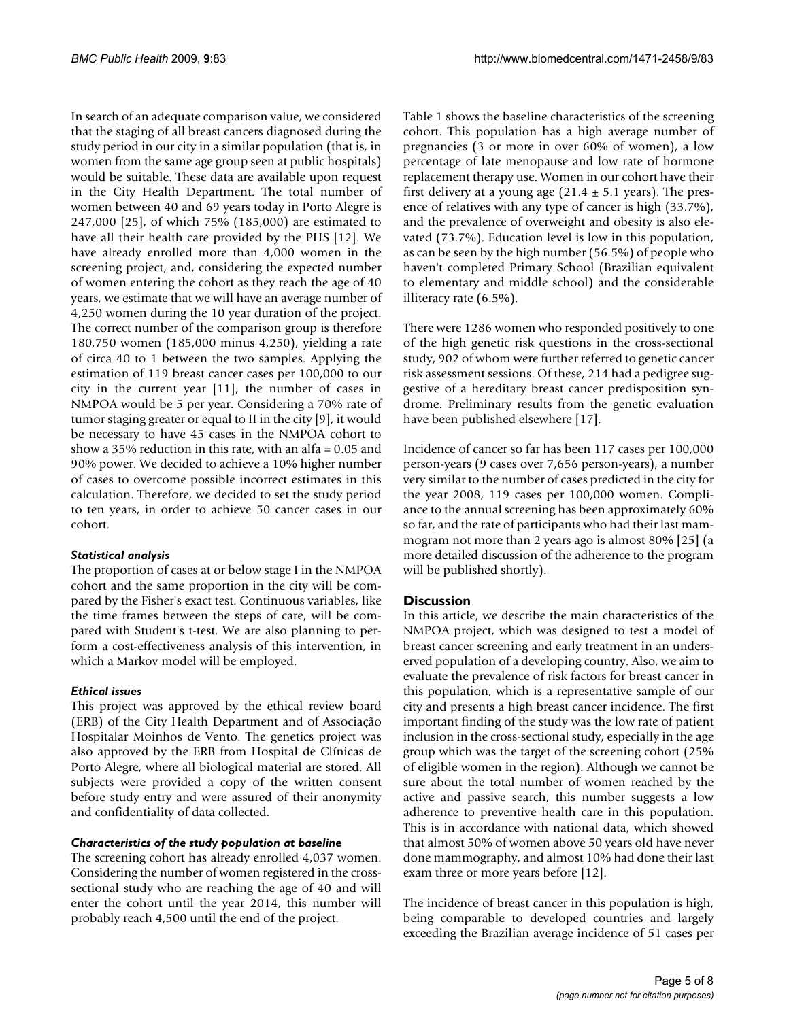In search of an adequate comparison value, we considered that the staging of all breast cancers diagnosed during the study period in our city in a similar population (that is, in women from the same age group seen at public hospitals) would be suitable. These data are available upon request in the City Health Department. The total number of women between 40 and 69 years today in Porto Alegre is 247,000 [25], of which 75% (185,000) are estimated to have all their health care provided by the PHS [12]. We have already enrolled more than 4,000 women in the screening project, and, considering the expected number of women entering the cohort as they reach the age of 40 years, we estimate that we will have an average number of 4,250 women during the 10 year duration of the project. The correct number of the comparison group is therefore 180,750 women (185,000 minus 4,250), yielding a rate of circa 40 to 1 between the two samples. Applying the estimation of 119 breast cancer cases per 100,000 to our city in the current year [11], the number of cases in NMPOA would be 5 per year. Considering a 70% rate of tumor staging greater or equal to II in the city [9], it would be necessary to have 45 cases in the NMPOA cohort to show a 35% reduction in this rate, with an alfa = 0.05 and 90% power. We decided to achieve a 10% higher number of cases to overcome possible incorrect estimates in this calculation. Therefore, we decided to set the study period to ten years, in order to achieve 50 cancer cases in our cohort.

# *Statistical analysis*

The proportion of cases at or below stage I in the NMPOA cohort and the same proportion in the city will be compared by the Fisher's exact test. Continuous variables, like the time frames between the steps of care, will be compared with Student's t-test. We are also planning to perform a cost-effectiveness analysis of this intervention, in which a Markov model will be employed.

# *Ethical issues*

This project was approved by the ethical review board (ERB) of the City Health Department and of Associação Hospitalar Moinhos de Vento. The genetics project was also approved by the ERB from Hospital de Clínicas de Porto Alegre, where all biological material are stored. All subjects were provided a copy of the written consent before study entry and were assured of their anonymity and confidentiality of data collected.

# *Characteristics of the study population at baseline*

The screening cohort has already enrolled 4,037 women. Considering the number of women registered in the crosssectional study who are reaching the age of 40 and will enter the cohort until the year 2014, this number will probably reach 4,500 until the end of the project.

Table 1 shows the baseline characteristics of the screening cohort. This population has a high average number of pregnancies (3 or more in over 60% of women), a low percentage of late menopause and low rate of hormone replacement therapy use. Women in our cohort have their first delivery at a young age  $(21.4 \pm 5.1 \text{ years})$ . The presence of relatives with any type of cancer is high (33.7%), and the prevalence of overweight and obesity is also elevated (73.7%). Education level is low in this population, as can be seen by the high number (56.5%) of people who haven't completed Primary School (Brazilian equivalent to elementary and middle school) and the considerable illiteracy rate (6.5%).

There were 1286 women who responded positively to one of the high genetic risk questions in the cross-sectional study, 902 of whom were further referred to genetic cancer risk assessment sessions. Of these, 214 had a pedigree suggestive of a hereditary breast cancer predisposition syndrome. Preliminary results from the genetic evaluation have been published elsewhere [17].

Incidence of cancer so far has been 117 cases per 100,000 person-years (9 cases over 7,656 person-years), a number very similar to the number of cases predicted in the city for the year 2008, 119 cases per 100,000 women. Compliance to the annual screening has been approximately 60% so far, and the rate of participants who had their last mammogram not more than 2 years ago is almost 80% [25] (a more detailed discussion of the adherence to the program will be published shortly).

# **Discussion**

In this article, we describe the main characteristics of the NMPOA project, which was designed to test a model of breast cancer screening and early treatment in an underserved population of a developing country. Also, we aim to evaluate the prevalence of risk factors for breast cancer in this population, which is a representative sample of our city and presents a high breast cancer incidence. The first important finding of the study was the low rate of patient inclusion in the cross-sectional study, especially in the age group which was the target of the screening cohort (25% of eligible women in the region). Although we cannot be sure about the total number of women reached by the active and passive search, this number suggests a low adherence to preventive health care in this population. This is in accordance with national data, which showed that almost 50% of women above 50 years old have never done mammography, and almost 10% had done their last exam three or more years before [12].

The incidence of breast cancer in this population is high, being comparable to developed countries and largely exceeding the Brazilian average incidence of 51 cases per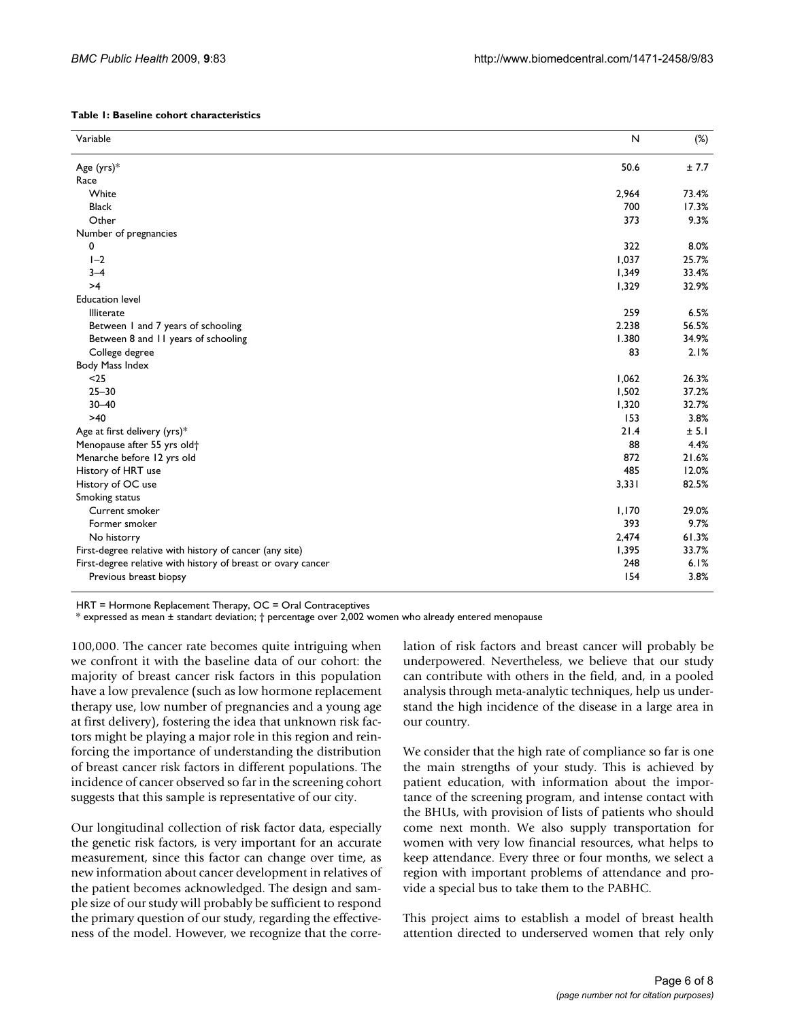| Table 1: Baseline cohort characteristics |  |
|------------------------------------------|--|
|------------------------------------------|--|

| Variable                                                     | $\mathsf{N}$ | $(\%)$ |
|--------------------------------------------------------------|--------------|--------|
| Age (yrs)*                                                   | 50.6         | ± 7.7  |
| Race                                                         |              |        |
| White                                                        | 2,964        | 73.4%  |
| <b>Black</b>                                                 | 700          | 17.3%  |
| Other                                                        | 373          | 9.3%   |
| Number of pregnancies                                        |              |        |
| 0                                                            | 322          | 8.0%   |
| $I-2$                                                        | 1,037        | 25.7%  |
| $3 - 4$                                                      | 1,349        | 33.4%  |
| >4                                                           | 1,329        | 32.9%  |
| <b>Education level</b>                                       |              |        |
| Illiterate                                                   | 259          | 6.5%   |
| Between 1 and 7 years of schooling                           | 2.238        | 56.5%  |
| Between 8 and 11 years of schooling                          | 1.380        | 34.9%  |
| College degree                                               | 83           | 2.1%   |
| Body Mass Index                                              |              |        |
| $25$                                                         | 1,062        | 26.3%  |
| $25 - 30$                                                    | 1,502        | 37.2%  |
| $30 - 40$                                                    | 1,320        | 32.7%  |
| $>40$                                                        | 153          | 3.8%   |
| Age at first delivery (yrs)*                                 | 21.4         | ± 5.1  |
| Menopause after 55 yrs old <sup>+</sup>                      | 88           | 4.4%   |
| Menarche before 12 yrs old                                   | 872          | 21.6%  |
| History of HRT use                                           | 485          | 12.0%  |
| History of OC use                                            | 3,331        | 82.5%  |
| Smoking status                                               |              |        |
| Current smoker                                               | 1,170        | 29.0%  |
| Former smoker                                                | 393          | 9.7%   |
| No historry                                                  | 2,474        | 61.3%  |
| First-degree relative with history of cancer (any site)      | 1,395        | 33.7%  |
| First-degree relative with history of breast or ovary cancer | 248          | 6.1%   |
| Previous breast biopsy                                       | 154          | 3.8%   |

HRT = Hormone Replacement Therapy, OC = Oral Contraceptives

 $*$  expressed as mean  $\pm$  standart deviation;  $\dagger$  percentage over 2,002 women who already entered menopause

100,000. The cancer rate becomes quite intriguing when we confront it with the baseline data of our cohort: the majority of breast cancer risk factors in this population have a low prevalence (such as low hormone replacement therapy use, low number of pregnancies and a young age at first delivery), fostering the idea that unknown risk factors might be playing a major role in this region and reinforcing the importance of understanding the distribution of breast cancer risk factors in different populations. The incidence of cancer observed so far in the screening cohort suggests that this sample is representative of our city.

Our longitudinal collection of risk factor data, especially the genetic risk factors, is very important for an accurate measurement, since this factor can change over time, as new information about cancer development in relatives of the patient becomes acknowledged. The design and sample size of our study will probably be sufficient to respond the primary question of our study, regarding the effectiveness of the model. However, we recognize that the correlation of risk factors and breast cancer will probably be underpowered. Nevertheless, we believe that our study can contribute with others in the field, and, in a pooled analysis through meta-analytic techniques, help us understand the high incidence of the disease in a large area in our country.

We consider that the high rate of compliance so far is one the main strengths of your study. This is achieved by patient education, with information about the importance of the screening program, and intense contact with the BHUs, with provision of lists of patients who should come next month. We also supply transportation for women with very low financial resources, what helps to keep attendance. Every three or four months, we select a region with important problems of attendance and provide a special bus to take them to the PABHC.

This project aims to establish a model of breast health attention directed to underserved women that rely only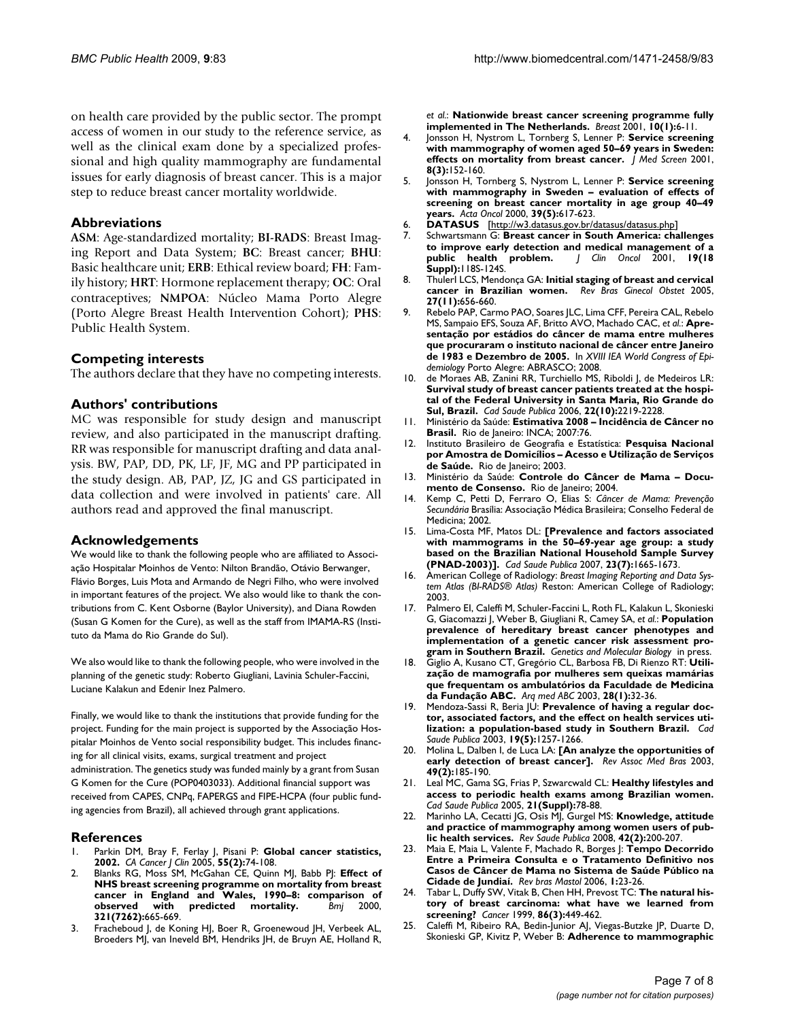on health care provided by the public sector. The prompt access of women in our study to the reference service, as well as the clinical exam done by a specialized professional and high quality mammography are fundamental issues for early diagnosis of breast cancer. This is a major step to reduce breast cancer mortality worldwide.

## **Abbreviations**

**ASM**: Age-standardized mortality; **BI-RADS**: Breast Imaging Report and Data System; **BC**: Breast cancer; **BHU**: Basic healthcare unit; **ERB**: Ethical review board; **FH**: Family history; **HRT**: Hormone replacement therapy; **OC**: Oral contraceptives; **NMPOA**: Núcleo Mama Porto Alegre (Porto Alegre Breast Health Intervention Cohort); **PHS**: Public Health System.

## **Competing interests**

The authors declare that they have no competing interests.

## **Authors' contributions**

MC was responsible for study design and manuscript review, and also participated in the manuscript drafting. RR was responsible for manuscript drafting and data analysis. BW, PAP, DD, PK, LF, JF, MG and PP participated in the study design. AB, PAP, JZ, JG and GS participated in data collection and were involved in patients' care. All authors read and approved the final manuscript.

#### **Acknowledgements**

We would like to thank the following people who are affiliated to Associação Hospitalar Moinhos de Vento: Nilton Brandão, Otávio Berwanger, Flávio Borges, Luis Mota and Armando de Negri Filho, who were involved in important features of the project. We also would like to thank the contributions from C. Kent Osborne (Baylor University), and Diana Rowden (Susan G Komen for the Cure), as well as the staff from IMAMA-RS (Instituto da Mama do Rio Grande do Sul).

We also would like to thank the following people, who were involved in the planning of the genetic study: Roberto Giugliani, Lavinia Schuler-Faccini, Luciane Kalakun and Edenir Inez Palmero.

Finally, we would like to thank the institutions that provide funding for the project. Funding for the main project is supported by the Associação Hospitalar Moinhos de Vento social responsibility budget. This includes financing for all clinical visits, exams, surgical treatment and project administration. The genetics study was funded mainly by a grant from Susan G Komen for the Cure (POP0403033). Additional financial support was received from CAPES, CNPq, FAPERGS and FIPE-HCPA (four public funding agencies from Brazil), all achieved through grant applications.

# **References**

- 1. Parkin DM, Bray F, Ferlay J, Pisani P: **[Global cancer statistics,](http://www.ncbi.nlm.nih.gov/entrez/query.fcgi?cmd=Retrieve&db=PubMed&dopt=Abstract&list_uids=15761078) [2002.](http://www.ncbi.nlm.nih.gov/entrez/query.fcgi?cmd=Retrieve&db=PubMed&dopt=Abstract&list_uids=15761078)** *CA Cancer J Clin* 2005, **55(2):**74-108.
- 2. Blanks RG, Moss SM, McGahan CE, Quinn MJ, Babb PJ: **[Effect of](http://www.ncbi.nlm.nih.gov/entrez/query.fcgi?cmd=Retrieve&db=PubMed&dopt=Abstract&list_uids=10987769) [NHS breast screening programme on mortality from breast](http://www.ncbi.nlm.nih.gov/entrez/query.fcgi?cmd=Retrieve&db=PubMed&dopt=Abstract&list_uids=10987769) cancer in England and Wales, 1990–8: comparison of [observed with predicted mortality.](http://www.ncbi.nlm.nih.gov/entrez/query.fcgi?cmd=Retrieve&db=PubMed&dopt=Abstract&list_uids=10987769)** *Bmj* 2000, **321(7262):**665-669.
- 3. Fracheboud J, de Koning HJ, Boer R, Groenewoud JH, Verbeek AL, Broeders MJ, van Ineveld BM, Hendriks JH, de Bruyn AE, Holland R,

*et al.*: **[Nationwide breast cancer screening programme fully](http://www.ncbi.nlm.nih.gov/entrez/query.fcgi?cmd=Retrieve&db=PubMed&dopt=Abstract&list_uids=14965550) [implemented in The Netherlands.](http://www.ncbi.nlm.nih.gov/entrez/query.fcgi?cmd=Retrieve&db=PubMed&dopt=Abstract&list_uids=14965550)** *Breast* 2001, **10(1):**6-11.

- 4. Jonsson H, Nystrom L, Tornberg S, Lenner P: **[Service screening](http://www.ncbi.nlm.nih.gov/entrez/query.fcgi?cmd=Retrieve&db=PubMed&dopt=Abstract&list_uids=11678556) [with mammography of women aged 50–69 years in Sweden:](http://www.ncbi.nlm.nih.gov/entrez/query.fcgi?cmd=Retrieve&db=PubMed&dopt=Abstract&list_uids=11678556) [effects on mortality from breast cancer.](http://www.ncbi.nlm.nih.gov/entrez/query.fcgi?cmd=Retrieve&db=PubMed&dopt=Abstract&list_uids=11678556)** *J Med Screen* 2001, **8(3):**152-160.
- 5. Jonsson H, Tornberg S, Nystrom L, Lenner P: **[Service screening](http://www.ncbi.nlm.nih.gov/entrez/query.fcgi?cmd=Retrieve&db=PubMed&dopt=Abstract&list_uids=11093370) [with mammography in Sweden – evaluation of effects of](http://www.ncbi.nlm.nih.gov/entrez/query.fcgi?cmd=Retrieve&db=PubMed&dopt=Abstract&list_uids=11093370) screening on breast cancer mortality in age group 40–49 [years.](http://www.ncbi.nlm.nih.gov/entrez/query.fcgi?cmd=Retrieve&db=PubMed&dopt=Abstract&list_uids=11093370)** *Acta Oncol* 2000, **39(5):**617-623.
- 6. **DATASUS** [\[http://w3.datasus.gov.br/datasus/datasus.php\]](http://w3.datasus.gov.br/datasus/datasus.php)
- 7. Schwartsmann G: **[Breast cancer in South America: challenges](http://www.ncbi.nlm.nih.gov/entrez/query.fcgi?cmd=Retrieve&db=PubMed&dopt=Abstract&list_uids=11560986) [to improve early detection and medical management of a](http://www.ncbi.nlm.nih.gov/entrez/query.fcgi?cmd=Retrieve&db=PubMed&dopt=Abstract&list_uids=11560986) [public health problem.](http://www.ncbi.nlm.nih.gov/entrez/query.fcgi?cmd=Retrieve&db=PubMed&dopt=Abstract&list_uids=11560986)** *J Clin Oncol* 2001, **19(18 Suppl):**118S-124S.
- 8. ThulerI LCS, Mendonça GA: Initial staging of breast and cervical **cancer in Brazilian women.** *Rev Bras Ginecol Obstet* 2005, **27(11):**656-660.
- 9. Rebelo PAP, Carmo PAO, Soares JLC, Lima CFF, Pereira CAL, Rebelo MS, Sampaio EFS, Souza AF, Britto AVO, Machado CAC, *et al.*: **Apresentação por estádios do câncer de mama entre mulheres que procuraram o instituto nacional de câncer entre Janeiro de 1983 e Dezembro de 2005.** In *XVIII IEA World Congress of Epidemiology* Porto Alegre: ABRASCO; 2008.
- 10. de Moraes AB, Zanini RR, Turchiello MS, Riboldi J, de Medeiros LR: **[Survival study of breast cancer patients treated at the hospi](http://www.ncbi.nlm.nih.gov/entrez/query.fcgi?cmd=Retrieve&db=PubMed&dopt=Abstract&list_uids=16951894)tal of the Federal University in Santa Maria, Rio Grande do [Sul, Brazil.](http://www.ncbi.nlm.nih.gov/entrez/query.fcgi?cmd=Retrieve&db=PubMed&dopt=Abstract&list_uids=16951894)** *Cad Saude Publica* 2006, **22(10):**2219-2228.
- 11. Ministério da Saúde: **Estimativa 2008 Incidência de Câncer no** Brasil. Rio de Janeiro: INCA; 2007:76.
- 12. Instituto Brasileiro de Geografia e Estatística: **Pesquisa Nacional por Amostra de Domicílios – Acesso e Utilização de Serviços de Saúde.** Rio de Janeiro; 2003.
- 13. Ministério da Saúde: **Controle do Câncer de Mama Documento de Consenso.** Rio de Janeiro; 2004.
- 14. Kemp C, Petti D, Ferraro O, Elias S: *Câncer de Mama: Prevenção Secundária* Brasília: Associação Médica Brasileira; Conselho Federal de Medicina: 2002
- 15. Lima-Costa MF, Matos DL: **[\[Prevalence and factors associated](http://www.ncbi.nlm.nih.gov/entrez/query.fcgi?cmd=Retrieve&db=PubMed&dopt=Abstract&list_uids=17572816) [with mammograms in the 50–69-year age group: a study](http://www.ncbi.nlm.nih.gov/entrez/query.fcgi?cmd=Retrieve&db=PubMed&dopt=Abstract&list_uids=17572816) based on the Brazilian National Household Sample Survey [\(PNAD-2003\)\].](http://www.ncbi.nlm.nih.gov/entrez/query.fcgi?cmd=Retrieve&db=PubMed&dopt=Abstract&list_uids=17572816)** *Cad Saude Publica* 2007, **23(7):**1665-1673.
- 16. American College of Radiology: *Breast Imaging Reporting and Data System Atlas (BI-RADS® Atlas)* Reston: American College of Radiology; 2003.
- 17. Palmero EI, Caleffi M, Schuler-Faccini L, Roth FL, Kalakun L, Skonieski G, Giacomazzi J, Weber B, Giugliani R, Camey SA, *et al.*: **Population prevalence of hereditary breast cancer phenotypes and implementation of a genetic cancer risk assessment program in Southern Brazil.** *Genetics and Molecular Biology* in press.
- 18. Giglio A, Kusano CT, Gregório CL, Barbosa FB, Di Rienzo RT: **Utilização de mamografia por mulheres sem queixas mamárias que frequentam os ambulatórios da Faculdade de Medicina da Fundação ABC.** *Arq med ABC* 2003, **28(1):**32-36.
- 19. Mendoza-Sassi R, Beria JU: **[Prevalence of having a regular doc](http://www.ncbi.nlm.nih.gov/entrez/query.fcgi?cmd=Retrieve&db=PubMed&dopt=Abstract&list_uids=14666207)[tor, associated factors, and the effect on health services uti](http://www.ncbi.nlm.nih.gov/entrez/query.fcgi?cmd=Retrieve&db=PubMed&dopt=Abstract&list_uids=14666207)[lization: a population-based study in Southern Brazil.](http://www.ncbi.nlm.nih.gov/entrez/query.fcgi?cmd=Retrieve&db=PubMed&dopt=Abstract&list_uids=14666207)** *Cad Saude Publica* 2003, **19(5):**1257-1266.
- 20. Molina L, Dalben I, de Luca LA: **[\[An analyze the opportunities of](http://www.ncbi.nlm.nih.gov/entrez/query.fcgi?cmd=Retrieve&db=PubMed&dopt=Abstract&list_uids=12886398) [early detection of breast cancer\].](http://www.ncbi.nlm.nih.gov/entrez/query.fcgi?cmd=Retrieve&db=PubMed&dopt=Abstract&list_uids=12886398)** *Rev Assoc Med Bras* 2003, **49(2):**185-190.
- 21. Leal MC, Gama SG, Frias P, Szwarcwald CL: **[Healthy lifestyles and](http://www.ncbi.nlm.nih.gov/entrez/query.fcgi?cmd=Retrieve&db=PubMed&dopt=Abstract&list_uids=16462999) [access to periodic health exams among Brazilian women.](http://www.ncbi.nlm.nih.gov/entrez/query.fcgi?cmd=Retrieve&db=PubMed&dopt=Abstract&list_uids=16462999)** *Cad Saude Publica* 2005, **21(Suppl):**78-88.
- 22. Marinho LA, Cecatti JG, Osis MJ, Gurgel MS: **[Knowledge, attitude](http://www.ncbi.nlm.nih.gov/entrez/query.fcgi?cmd=Retrieve&db=PubMed&dopt=Abstract&list_uids=18327499) [and practice of mammography among women users of pub](http://www.ncbi.nlm.nih.gov/entrez/query.fcgi?cmd=Retrieve&db=PubMed&dopt=Abstract&list_uids=18327499)[lic health services.](http://www.ncbi.nlm.nih.gov/entrez/query.fcgi?cmd=Retrieve&db=PubMed&dopt=Abstract&list_uids=18327499)** *Rev Saude Publica* 2008, **42(2):**200-207.
- 23. Maia E, Maia L, Valente F, Machado R, Borges J: **Tempo Decorrido Entre a Primeira Consulta e o Tratamento Definitivo nos Casos de Câncer de Mama no Sistema de Saúde Público na Cidade de Jundiaí.** *Rev bras Mastol* 2006, **1:**23-26.
- 24. Tabar L, Duffy SW, Vitak B, Chen HH, Prevost TC: **[The natural his](http://www.ncbi.nlm.nih.gov/entrez/query.fcgi?cmd=Retrieve&db=PubMed&dopt=Abstract&list_uids=10430253)[tory of breast carcinoma: what have we learned from](http://www.ncbi.nlm.nih.gov/entrez/query.fcgi?cmd=Retrieve&db=PubMed&dopt=Abstract&list_uids=10430253) [screening?](http://www.ncbi.nlm.nih.gov/entrez/query.fcgi?cmd=Retrieve&db=PubMed&dopt=Abstract&list_uids=10430253)** *Cancer* 1999, **86(3):**449-462.
- 25. Caleffi M, Ribeiro RA, Bedin-Junior AJ, Viegas-Butzke JP, Duarte D, Skonieski GP, Kivitz P, Weber B: **Adherence to mammographic**